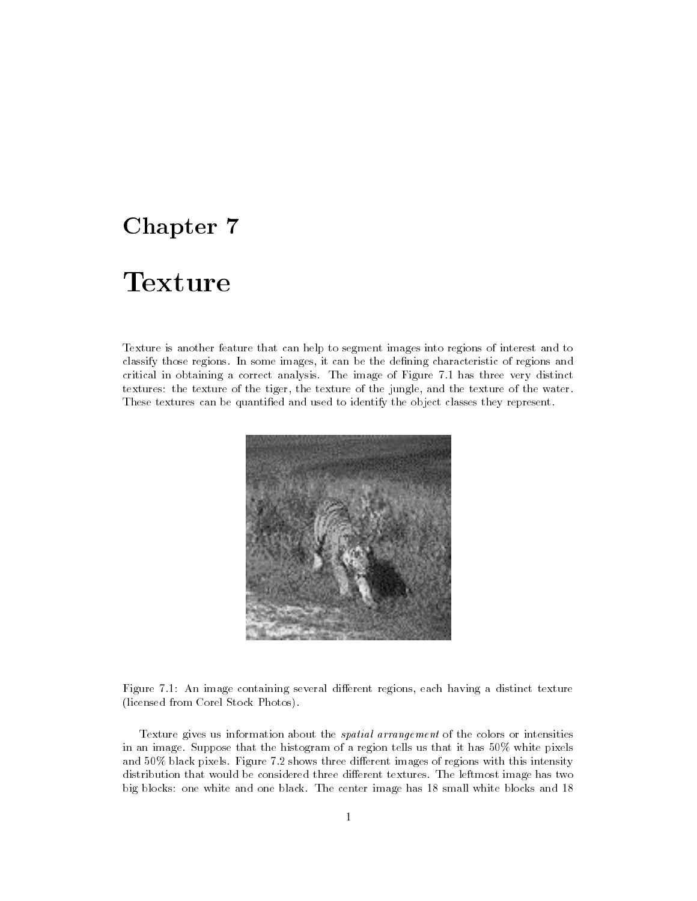# Chapter 7

# Texture

Texture is another feature that can help to segment images into regions of interest and to classify those regions. In some images, it can be the defining characteristic of regions and critical in obtaining a correct analysis. The image of Figure 7.1 has three very distinct textures: the texture of the tiger, the texture of the jungle, and the texture of the water. These textures can be quantified and used to identify the object classes they represent.



## Figure 7.1: An image containing several different regions, each having a distinct texture (licensed from Corel Stock Photos).

Texture gives us information about the spatial arrangement of the colors or intensities in an image. Suppose that the histogram of a region tells us that it has 50% white pixels and  $50\%$  black pixels. Figure 7.2 shows three different images of regions with this intensity distribution that would be considered three different textures. The leftmost image has two big blocks: one white and one black. The center image has 18 small white blocks and 18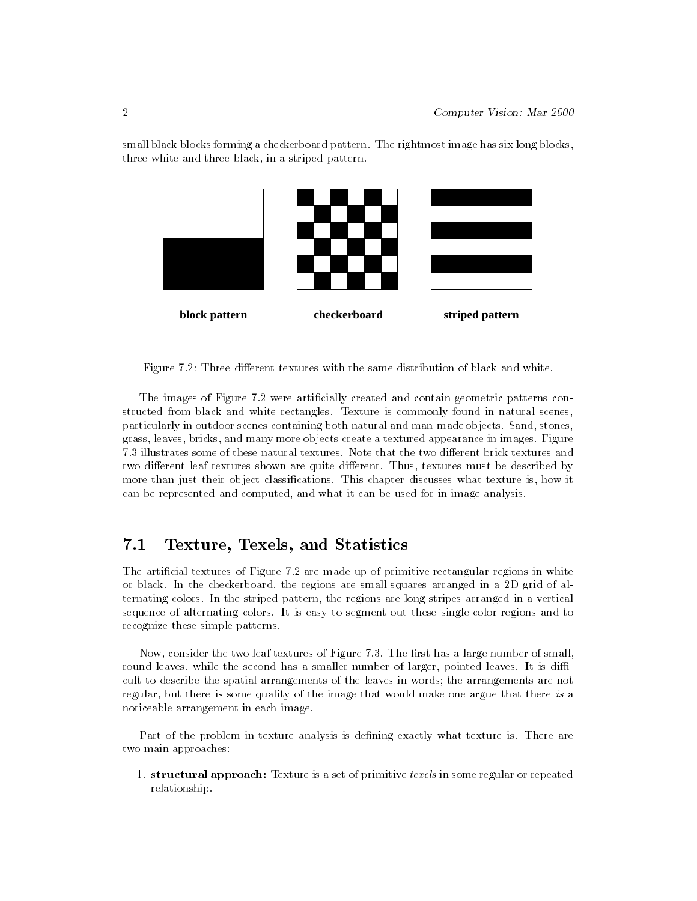small black blocks forming a checkerboard pattern. The rightmost image has six long blocks, three white and three black, in a striped pattern.



Figure 7.2: Three different textures with the same distribution of black and white.

The images of Figure 7.2 were articially created and contain geometric patterns constructed from black and white rectangles. Texture is commonly found in natural scenes, particularly in outdoor scenes containing both natural and man-made objects. Sand, stones, grass, leaves, bricks, and many more objects create a textured appearance in images. Figure 7.3 illustrates some of these natural textures. Note that the two different brick textures and two different leaf textures shown are quite different. Thus, textures must be described by more than just their object classifications. This chapter discusses what texture is, how it can be represented and computed, and what it can be used for in image analysis.

#### 7.1Texture, Texels, and Statistics

The articial textures of Figure 7.2 are made up of primitive rectangular regions in white or black. In the checkerboard, the regions are small squares arranged in a 2D grid of alternating colors. In the striped pattern, the regions are long stripes arranged in a vertical sequence of alternating colors. It is easy to segment out these single-color regions and to recognize these simple patterns.

Now, consider the two leaf textures of Figure 7.3. The first has a large number of small, round leaves, while the second has a smaller number of larger, pointed leaves. It is difficult to describe the spatial arrangements of the leaves in words; the arrangements are not regular, but there is some quality of the image that would make one argue that there is a noticeable arrangement in each image.

Part of the problem in texture analysis is defining exactly what texture is. There are two main approaches:

1. **structural approach:** Texture is a set of primitive texels in some regular or repeated relationship.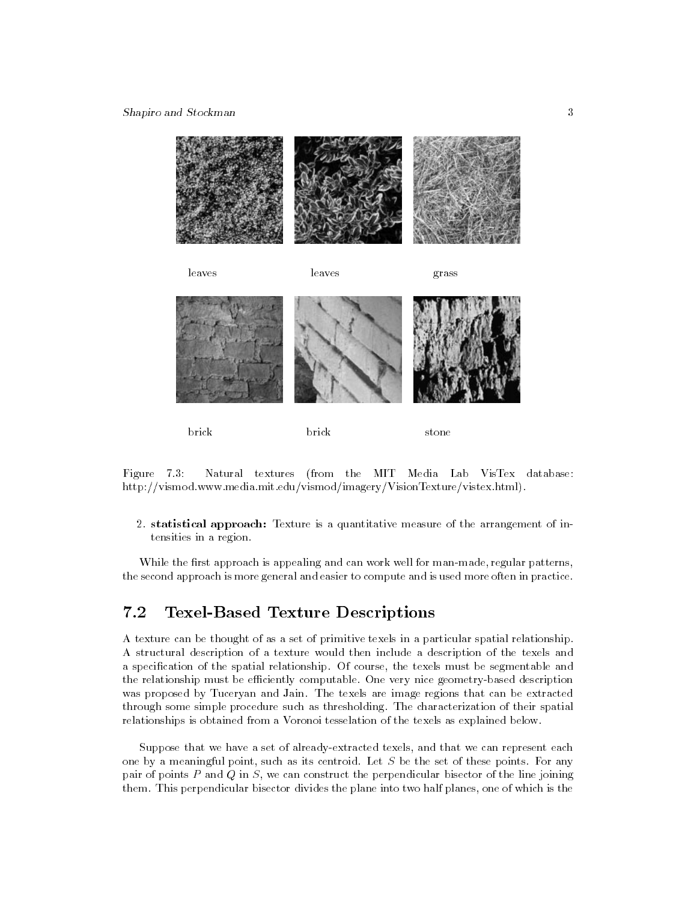

Figure 7.3: Natural textures (from the MIT Media Lab VisTex database: http://vismod.www.media.mit.edu/vismod/imagery/VisionTexture/vistex.html).

2. statistical approach: Texture is a quantitative measure of the arrangement of intensities in a region.

While the first approach is appealing and can work well for man-made, regular patterns, the second approach is more general and easier to compute and is used more often in practice.

#### 7.2Texel-Based Texture Descriptions

A texture can be thought of as a set of primitive texels in a particular spatial relationship. A structural description of a texture would then include a description of the texels and a specication of the spatial relationship. Of course, the texels must be segmentable and the relationship must be efficiently computable. One very nice geometry-based description was proposed by Tuceryan and Jain. The texels are image regions that can be extracted through some simple procedure such as thresholding. The characterization of their spatial relationships is obtained from a Voronoi tesselation of the texels as explained below.

Suppose that we have a set of already-extracted texels, and that we can represent each one by a meaningful point, such as its centroid. Let  $S$  be the set of these points. For any pair of points  $P$  and  $Q$  in  $S$ , we can construct the perpendicular bisector of the line joining them. This perpendicular bisector divides the plane into two half planes, one of which is the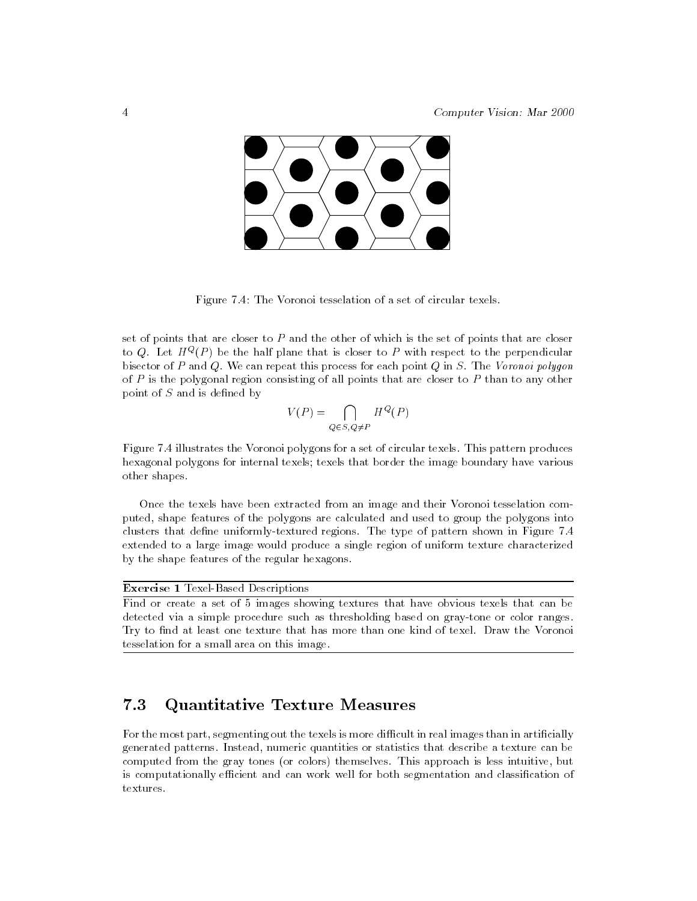

Figure 7.4: The Voronoi tesselation of a set of circular texels.

set of points that are closer to <sup>P</sup> and the other of which is the set of points that are closer to  $Q$ . Let  $H^\infty(P)$  be the half plane that is closer to  $P$  with respect to the perpendicular bisector of P and Q. We can repeat this process for each point Q in S. The Voronoi polygon of  $P$  is the polygonal region consisting of all points that are closer to  $P$  than to any other point of  $S$  and is defined by

$$
V(P) = \bigcap_{Q \in S, Q \neq P} H^Q(P)
$$

Figure 7.4 illustrates the Voronoi polygons for a set of circular texels. This pattern produces hexagonal polygons for internal texels; texels that border the image boundary have various other shapes.

Once the texels have been extracted from an image and their Voronoi tesselation computed, shape features of the polygons are calculated and used to group the polygons into clusters that define uniformly-textured regions. The type of pattern shown in Figure 7.4 extended to a large image would produce a single region of uniform texture characterized by the shape features of the regular hexagons.

## Exercise 1 Texel-Based Descriptions

Find or create a set of 5 images showing textures that have obvious texels that can be detected via a simple procedure such as thresholding based on gray-tone or color ranges. Try to find at least one texture that has more than one kind of texel. Draw the Voronoi tesselation for a small area on this image.

#### 7.3Quantitative Texture Measures

For the most part, segmenting out the texels is more difficult in real images than in artificially generated patterns. Instead, numeric quantities or statistics that describe a texture can be computed from the gray tones (or colors) themselves. This approach is less intuitive, but is computationally efficient and can work well for both segmentation and classification of textures.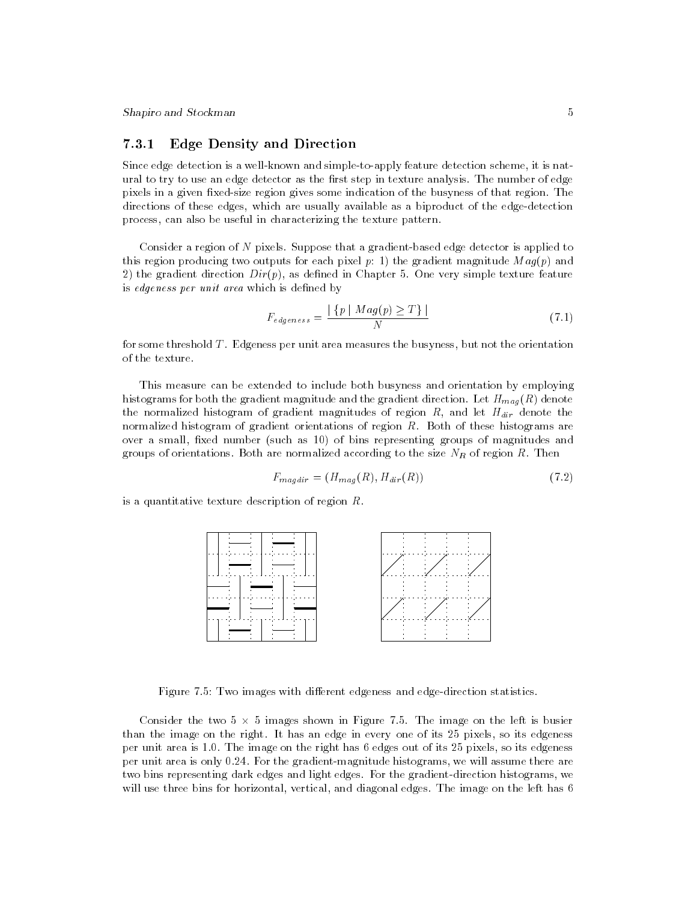Shapiro and Stockman 5

## 7.3.1 Edge Density and Direction

Since edge detection is a well-known and simple-to-apply feature detection scheme, it is natural to try to use an edge detector as the first step in texture analysis. The number of edge pixels in a given fixed-size region gives some indication of the busyness of that region. The directions of these edges, which are usually available as a biproduct of the edge-detection process, can also be useful in characterizing the texture pattern.

Consider a region of <sup>N</sup> pixels. Suppose that a gradient-based edge detector is applied to this region producing two outputs for each pixel p: 1) the gradient magnitude  $Mag(p)$  and 2) the gradient direction  $Dir(p)$ , as defined in Chapter 5. One very simple texture feature is edgeness per unit area which is defined by

$$
F_{edges} = \frac{|\{p \mid Mag(p) \ge T\}|}{N} \tag{7.1}
$$

for some threshold  $T$ . Edgeness per unit area measures the busyness, but not the orientation of the texture.

This measure can be extended to include both busyness and orientation by employing histograms for both the gradient magnitude and the gradient direction. Let Hmag (R) denote the normalized histogram of gradient magnitudes of region R, and let Hdir denote the normalized histogram of gradient orientations of region R. Both of these histograms are over a small, fixed number (such as 10) of bins representing groups of magnitudes and groups of orientations. Both are normalized according to the size NR of region R. Then

$$
F_{magdir} = (H_{mag}(R), H_{dir}(R))
$$
\n<sup>(7.2)</sup>

is a quantitative texture description of region  $R$ .



Figure 7.5: Two images with different edgeness and edge-direction statistics.

Consider the two 5  $\times$  5 images shown in Figure 7.5. The image on the left is busier than the image on the right. It has an edge in every one of its 25 pixels, so its edgeness per unit area is 1.0. The image on the right has 6 edges out of its 25 pixels, so its edgeness per unit area is only 0.24. For the gradient-magnitude histograms, we will assume there are two bins representing dark edges and light edges. For the gradient-direction histograms, we will use three bins for horizontal, vertical, and diagonal edges. The image on the left has 6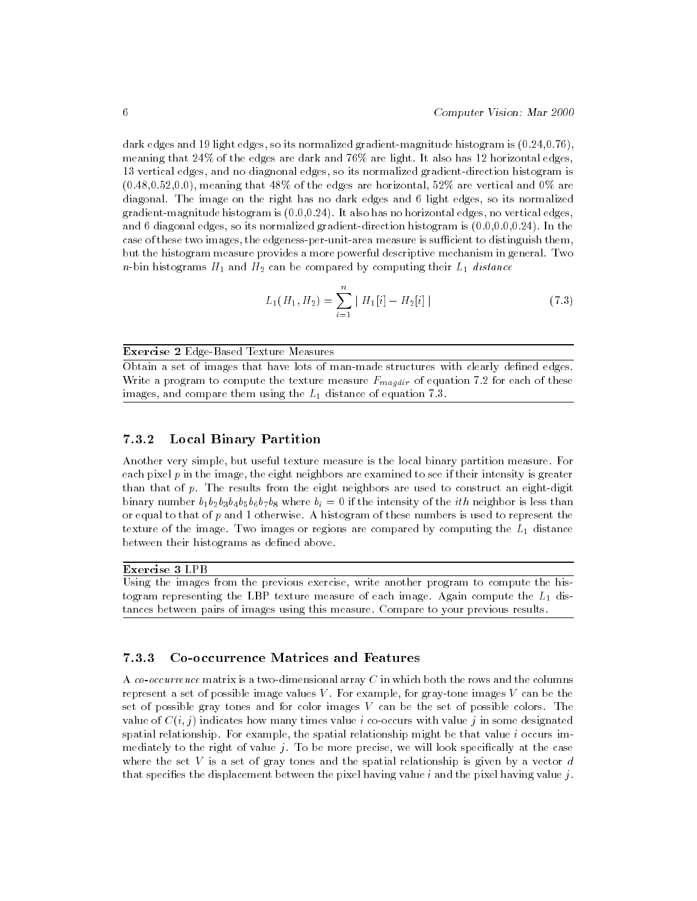dark edges and 19 light edges, so its normalized gradient-magnitude histogram is (0.24,0.76), meaning that 24% of the edges are dark and 76% are light. It also has 12 horizontal edges, 13 vertical edges, and no diagnonal edges, so its normalized gradient-direction histogram is  $(0.48,0.52,0.0)$ , meaning that  $48\%$  of the edges are horizontal,  $52\%$  are vertical and 0% are diagonal. The image on the right has no dark edges and 6 light edges, so its normalized gradient-magnitude histogram is  $(0.0, 0.24)$ . It also has no horizontal edges, no vertical edges, and 6 diagonal edges, so its normalized gradient-direction histogram is (0.0,0.0,0.24). In the case of these two images, the edgeness-per-unit-area measure is sufficient to distinguish them, but the histogram measure provides a more powerful descriptive mechanism in general. Two *n*-bin histograms  $H_1$  and  $H_2$  can be compared by computing their  $L_1$  distance

$$
L_1(H_1, H_2) = \sum_{i=1}^{n} |H_1[i] - H_2[i]|
$$
\n(7.3)

Exercise 2 Edge-Based Texture Measures

Obtain a set of images that have lots of man-made structures with clearly defined edges.  $W$  is the a program to compute the texture measure  $F$   $m$   $m$   $n$  of  $\alpha$  can  $\alpha$  for each or these images, and compare them using the  $L_1$  distance of equation 7.3.

# 7.3.2 Local Binary Partition

Another very simple, but useful texture measure is the local binary partition measure. For each pixel <sup>p</sup> in the image, the eight neighbors are examined to see if their intensity is greater than that of  $p$ . The results from the eight neighbors are used to construct an eight-digit binary number  $b_1b_2b_3b_4b_5b_6b_7b_8$  where  $b_i = 0$  if the intensity of the *ith* neighbor is less than or equal to that of  $p$  and 1 otherwise. A histogram of these numbers is used to represent the texture of the image. Two images or regions are compared by computing the  $L_1$  distance between their histograms as defined above.

## Exercise 9 LI D

Using the images from the previous exercise, write another program to compute the histogram representing the LBP texture measure of each image. Again compute the  $L_1$  distances between pairs of images using this measure. Compare to your previous results.

#### 7.3.3 7.3.3 Co-occurrence Matrices and Features

A co-occurrence matrix is a two-dimensional array  $C$  in which both the rows and the columns represent a set of possible image values  $V$ . For example, for gray-tone images  $V$  can be the set of possible gray tones and for color images  $V$  can be the set of possible colors. The value of  $C(i, j)$  indicates how many times value i co-occurs with value j in some designated spatial relationship. For example, the spatial relationship might be that value <sup>i</sup> occurs immediately to the right of value  $j$ . To be more precise, we will look specifically at the case where the set  $V$  is a set of gray tones and the spatial relationship is given by a vector  $d$ that specifies the displacement between the pixel having value i and the pixel having value j.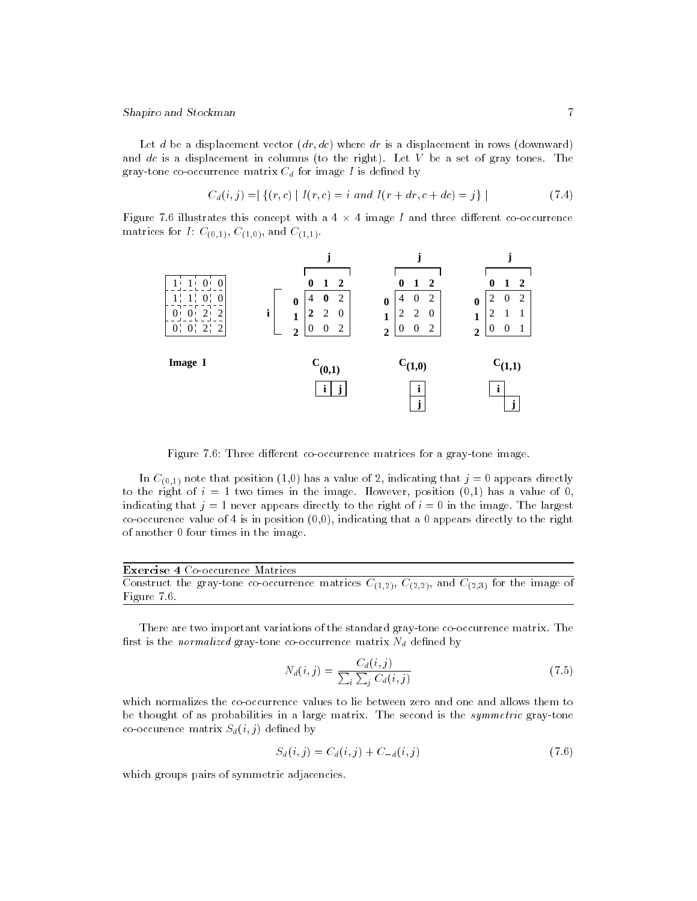Let d be a displacement vector  $(dr, dc)$  where dr is a displacement in rows (downward) and dc is a displacement in columns (to the right). Let  $V$  be a set of gray tones. The  $\mathbb{R}$  for  $\mathbb{R}$  correction is defined by  $\mathbb{R}$  for  $\mathbb{R}$  independent by  $\mathbb{R}$ 

$$
C_d(i,j) = |\{(r,c) | I(r,c) = i \text{ and } I(r+dr, c+dc) = j\}| \tag{7.4}
$$

Figure *(* ) illustrates this concept with a 4  $\times$  4 image *I* and three different co-occurrence matrices for  $I: C_{(0,1)}, C_{(1,0)},$  and  $C_{(1,1)}$ .



Figure 7.6: Three different co-occurrence matrices for a gray-tone image.

In  $C_{(0,1)}$  note that position (1,0) has a value of 2, indicating that  $j = 0$  appears directly to the right of  $i = 1$  two times in the image. However, position  $(0,1)$  has a value of 0, indicating that  $j = 1$  never appears directly to the right of  $i = 0$  in the image. The largest co-occurence value of 4 is in position  $(0,0)$ , indicating that a 0 appears directly to the right of another 0 four times in the image.

| <b>Exercise 4</b> Co-occurence Matrices                                                                     |  |
|-------------------------------------------------------------------------------------------------------------|--|
| Construct the gray-tone co-occurrence matrices $C_{(1,2)}$ , $C_{(2,2)}$ , and $C_{(2,3)}$ for the image of |  |
| Figure 7.6.                                                                                                 |  |

There are two important variations of the standard gray-tone co-occurrence matrix. The  $r$ rst is the normalized gray-tone co-occurrence matrix  $\mathcal{N}_d$  achieve  $\mathcal{N}_d$ 

$$
N_d(i,j) = \frac{C_d(i,j)}{\sum_i \sum_j C_d(i,j)}\tag{7.5}
$$

which normalizes the co-occurrence values to lie between zero and one and allows them to be thought of as probabilities in a large matrix. The second is the *symmetric* gray-tone  $\mathrm{c}\,\mathrm{o}\text{-} \mathrm{o}\,\mathrm{c}\,\mathrm{u}$  and  $\mathrm{c}\,\mathrm{u}\,\mathrm{u}$  and  $\mathrm{c}\,\mathrm{u}\,\mathrm{u}$  and  $\mathrm{c}\,\mathrm{u}\,\mathrm{u}$ 

$$
S_d(i,j) = C_d(i,j) + C_{-d}(i,j)
$$
\n(7.6)

which groups pairs of symmetric adjacencies.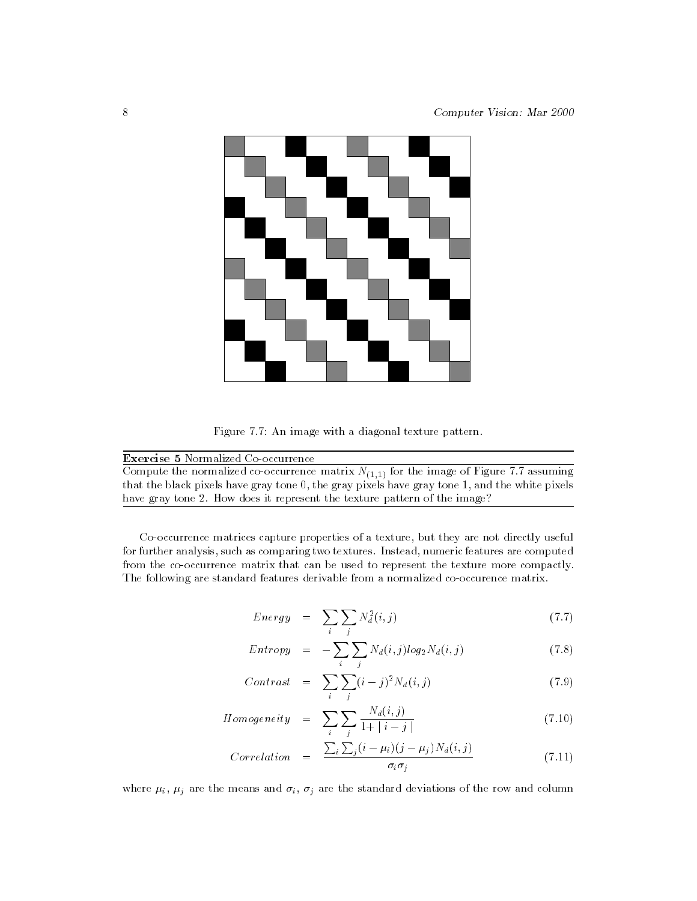

Figure 7.7: An image with a diagonal texture pattern.

| <b>Exercise 5</b> Normalized Co-occurrence                                                     |
|------------------------------------------------------------------------------------------------|
| Compute the normalized co-occurrence matrix $N_{(1,1)}$ for the image of Figure 7.7 assuming   |
| that the black pixels have gray tone 0, the gray pixels have gray tone 1, and the white pixels |
| have gray tone 2. How does it represent the texture pattern of the image?                      |

Co-occurrence matrices capture properties of a texture, but they are not directly useful for further analysis, such as comparing two textures. Instead, numeric features are computed from the co-occurrence matrix that can be used to represent the texture more compactly. The following are standard features derivable from a normalized co-occurence matrix.

$$
Energy = \sum_{i} \sum_{j} N_d^2(i, j) \tag{7.7}
$$

$$
Entropy = -\sum_{i} \sum_{j} N_d(i,j) log_2 N_d(i,j) \qquad (7.8)
$$

$$
Contrast = \sum_{i} \sum_{j} (i-j)^2 N_d(i,j) \tag{7.9}
$$

$$
Homogeneity = \sum_{i} \sum_{j} \frac{N_d(i,j)}{1 + |i - j|} \tag{7.10}
$$

$$
Correlation = \frac{\sum_{i} \sum_{j} (i - \mu_{i})(j - \mu_{j}) N_{d}(i, j)}{\sigma_{i} \sigma_{j}}
$$
(7.11)

where  $\mu_l$ ,  $\mu_l$  are the means and  $\sigma_l$ ,  $\sigma_l$  are the standard deviations of the row and column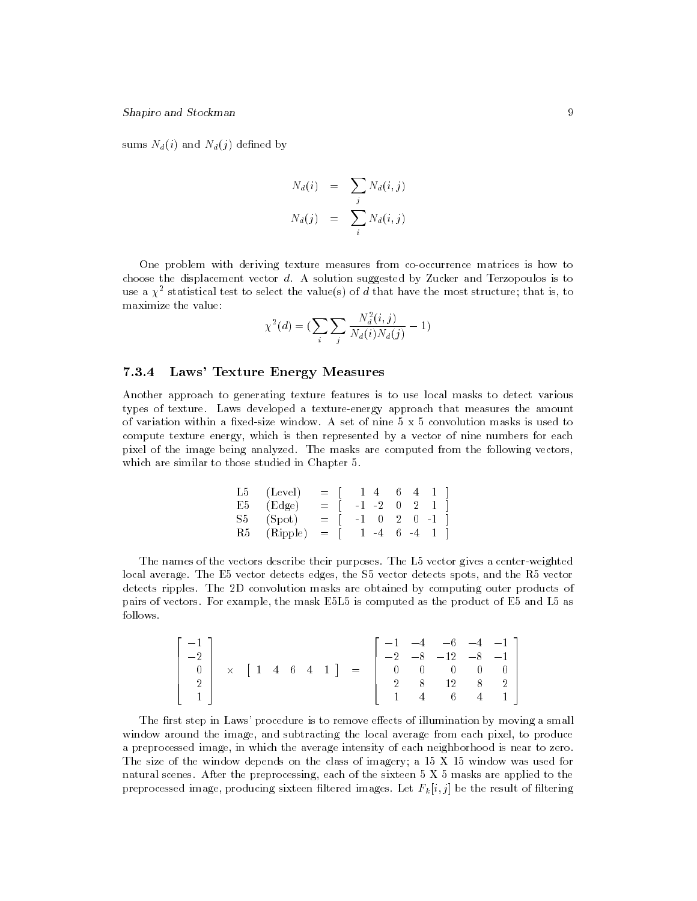$sum_{i}$   $\ldots$   $sum_{i}$   $sum_{i}$   $sum_{i}$   $sum_{i}$   $sum_{i}$   $sum_{i}$   $sum_{i}$   $sum_{i}$   $sum_{i}$   $sum_{i}$   $sum_{i}$   $sum_{i}$   $sum_{i}$   $sum_{i}$   $sum_{i}$   $sum_{i}$   $sum_{i}$   $sum_{i}$   $sum_{i}$   $sum_{i}$   $sum_{i}$   $sum_{i}$   $sum_{i}$   $sum_{i}$   $sum_{i}$   $sum_{i}$   $sum_{i}$   $sum_{i}$   $sum_{i}$   $sum_{i}$ 

$$
N_d(i) = \sum_j N_d(i, j)
$$
  

$$
N_d(j) = \sum_i N_d(i, j)
$$

One problem with deriving texture measures from co-occurrence matrices is how to choose the displacement vector  $d$ . A solution suggested by Zucker and Terzopoulos is to use a  $\chi^-$  statistical test to select the value(s) of  $a$  that have the most structure; that is, to maximize the value:

$$
\chi^{2}(d) = \left(\sum_{i} \sum_{j} \frac{N_d^{2}(i,j)}{N_d(i)N_d(j)} - 1\right)
$$

## 7.3.4 Laws' Texture Energy Measures

Another approach to generating texture features is to use local masks to detect various types of texture. Laws developed a texture-energy approach that measures the amount of variation within a fixed-size window. A set of nine  $5 \times 5$  convolution masks is used to compute texture energy, which is then represented by a vector of nine numbers for each pixel of the image being analyzed. The masks are computed from the following vectors, which are similar to those studied in Chapter 5.

| $\operatorname{L5}^-$ | (Level)  | $=$ $\top$   | 1 4 6 4 1       |  |  |
|-----------------------|----------|--------------|-----------------|--|--|
| E5-                   | (Edge)   | $=$ $\Box$   | $-1$ $-2$ 0 2 1 |  |  |
| $\operatorname{S5}$   | (Spot)   | $=$ $\Box$   | $-1$ 0 2 0 $-1$ |  |  |
| R5 -                  | (Ripple) | $\alpha = 1$ | $1 -4 6 -4 1$   |  |  |

The names of the vectors describe their purposes. The L5 vector gives a center-weighted local average. The E5 vector detects edges, the S5 vector detects spots, and the R5 vector detects ripples. The 2D convolution masks are obtained by computing outer products of pairs of vectors. For example, the mask E5L5 is computed as the product of E5 and L5 as follows.

| $\lceil -1 \rceil$ |               |            |  |                                         |  |   | $-1$ $-4$ $-6$ $-4$ $-1$ ] |   |  |
|--------------------|---------------|------------|--|-----------------------------------------|--|---|----------------------------|---|--|
| $-2$               |               |            |  |                                         |  |   | $-2$ $-8$ $-12$ $-8$ $-1$  |   |  |
|                    | $\times$ [ 1] | $4\quad 6$ |  | $\begin{bmatrix} 4 & 1 \end{bmatrix}$ = |  |   |                            |   |  |
| ച                  |               |            |  |                                         |  | 8 | 12                         | 8 |  |
| $\mathbf{1}$       |               |            |  |                                         |  | 4 | 6                          | 4 |  |

The first step in Laws' procedure is to remove effects of illumination by moving a small window around the image, and subtracting the local average from each pixel, to produce a preprocessed image, in which the average intensity of each neighborhood is near to zero. The size of the window depends on the class of imagery; a 15 X 15 window was used for natural scenes. After the preprocessing, each of the sixteen 5 X 5 masks are applied to the preprocessed image, producing sixteen filtered images. Let  $F_k[i, j]$  be the result of filtering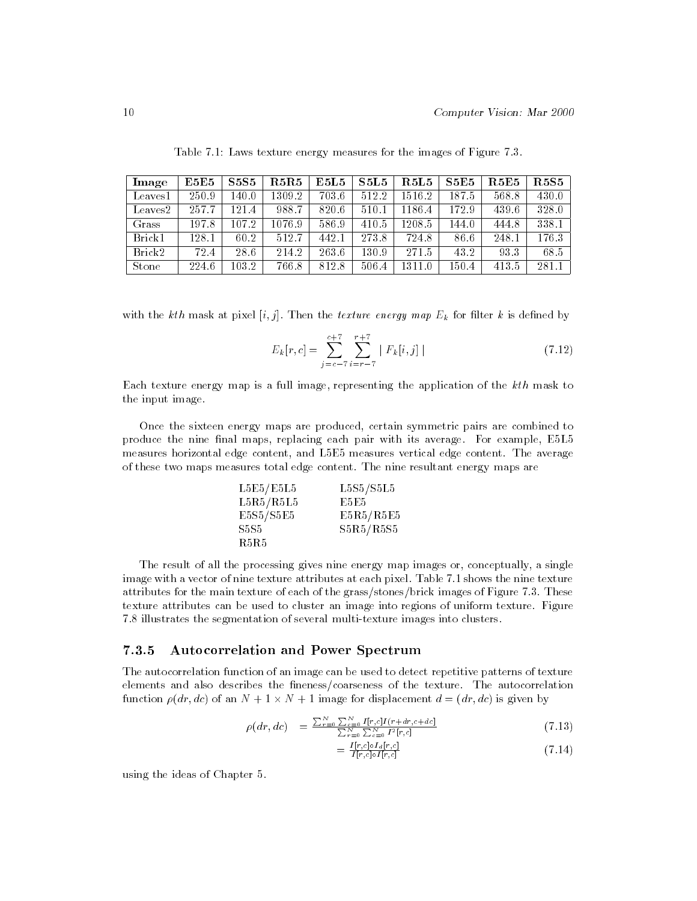| Image               | E5E5  | S5S5  | R5R5   | E5L5  | S5L5  | R5L5   | S5E5  | R5E5  | $R_{5}S_{5}$ |
|---------------------|-------|-------|--------|-------|-------|--------|-------|-------|--------------|
| Leaves1             | 250.9 | 140.0 | 1309.2 | 703.6 | 512.2 | 1516.2 | 187.5 | 568.8 | 430.0        |
| Leaves <sub>2</sub> | 257.7 | 1214  | 988.7  | 820.6 | 510.1 | 1186.4 | 172.9 | 439.6 | 328.0        |
| Grass               | 197.8 | 107-2 | 1076.9 | 586.9 | 410.5 | 1208.5 | 144.0 | 444.8 | 338.1        |
| Brick1              | 128.1 | 60.2  | 512.7  | 442.1 | 273.8 | 724.8  | 86.6  | 248.1 | 176.3        |
| Brick2              | 72.4  | 28.6  | 214.2  | 263.6 | 130.9 | 271.5  | 43.2  | 93.3  | 68.5         |
| Stone               | 224.6 | 103.2 | 766.8  | 812.8 | 506.4 | 1311.0 | 150.4 | 413.5 | 281.1        |

Table 7.1: Laws texture energy measures for the images of Figure 7.3.

with the kth mask at pixel  $[i, j]$ . Then the texture energy map  $E_k$  for miter k is defined by

$$
E_k[r, c] = \sum_{j=c-7}^{c+7} \sum_{i=r-7}^{r+7} |F_k[i, j]|
$$
\n(7.12)

Each texture energy map is a full image, representing the application of the kth mask to the input image.

Once the sixteen energy maps are produced, certain symmetric pairs are combined to produce the nine final maps, replacing each pair with its average. For example, E5L5 measures horizontal edge content, and L5E5 measures vertical edge content. The average of these two maps measures total edge content. The nine resultant energy maps are

| L5E5/E5L5     | L5S5/S5L5 |
|---------------|-----------|
| L5R5/R5L5     | E5E5      |
| E5S5/S5E5     | E5R5/R5E5 |
| S5S5          | S5R5/R5S5 |
| $_{\rm R5R5}$ |           |

The result of all the processing gives nine energy map images or, conceptually, a single image with a vector of nine texture attributes at each pixel. Table 7.1 shows the nine texture attributes for the main texture of each of the grass/stones/brick images of Figure 7.3. These texture attributes can be used to cluster an image into regions of uniform texture. Figure 7.8 illustrates the segmentation of several multi-texture images into clusters.

## 7.3.5 Autocorrelation and Power Spectrum

The autocorrelation function of an image can be used to detect repetitive patterns of texture elements and also describes the fineness/coarseness of the texture. The autocorrelation function  $\rho(dr, dc)$  of an  $N + 1 \times N + 1$  image for displacement  $d = (dr, dc)$  is given by

$$
\rho(dr, dc) = \frac{\sum_{r=0}^{N} \sum_{c=0}^{N} I[r, c]I(r + dr, c + dc]}{\sum_{r=0}^{N} \sum_{c=0}^{N} I^{2}[r, c]} \tag{7.13}
$$

$$
= \frac{I[r,c] \circ I_d[r,c]}{I[r,c] \circ I[r,c]} \tag{7.14}
$$

using the ideas of Chapter 5.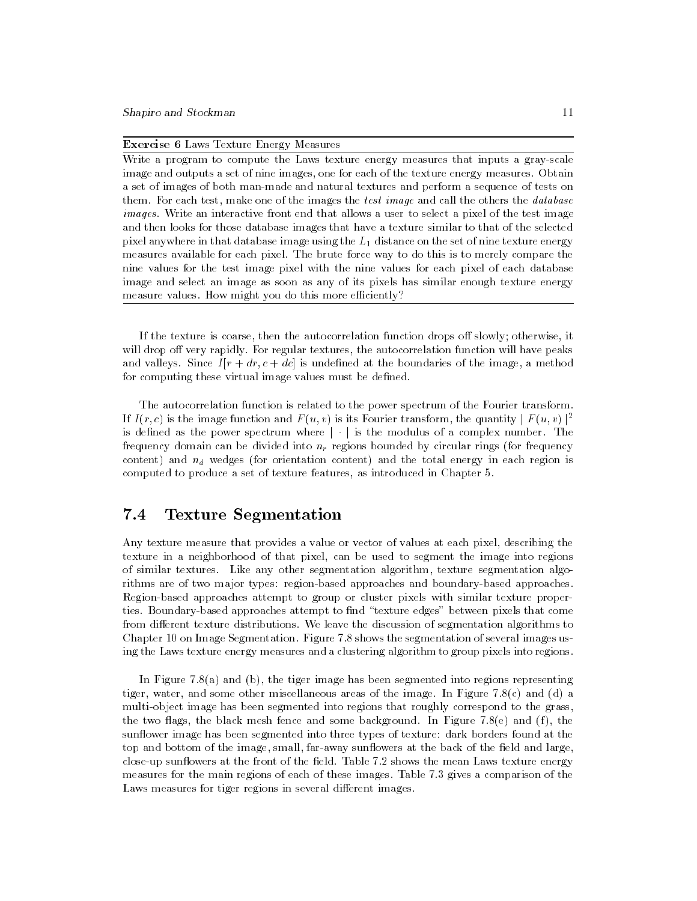Exercise 6 Laws Texture Energy Measures

Write a program to compute the Laws texture energy measures that inputs a gray-scale image and outputs a set of nine images, one for each of the texture energy measures. Obtain a set of images of both man-made and natural textures and perform a sequence of tests on them. For each test, make one of the images the test image and call the others the database images. Write an interactive front end that allows a user to select a pixel of the test image and then looks for those database images that have a texture similar to that of the selected pixel anywhere in that database image using the  $L_1$  distance on the set of nine texture energy measures available for each pixel. The brute force way to do this is to merely compare the nine values for the test image pixel with the nine values for each pixel of each database image and select an image as soon as any of its pixels has similar enough texture energy measure values. How might you do this more efficiently?

If the texture is coarse, then the autocorrelation function drops off slowly; otherwise, it will drop off very rapidly. For regular textures, the autocorrelation function will have peaks and valleys. Since  $I[r + dr, c + dc]$  is undefined at the boundaries of the image, a method for computing these virtual image values must be defined.

The autocorrelation function is related to the power spectrum of the Fourier transform. If  $I(r, c)$  is the image function and  $F(u, v)$  is its Fourier transform, the quantity  $|F(u, v)|^2$ is defined as the power spectrum where  $\vert \cdot \vert$  is the modulus of a complex number. The frequency domain can be divided into nr regions bounded by circular rings (for frequency content) and nd wedges (for orientation content) and the total energy in each region is computed to produce a set of texture features, as introduced in Chapter 5.

### 7.4Texture Segmentation

Any texture measure that provides a value or vector of values at each pixel, describing the texture in a neighborhood of that pixel, can be used to segment the image into regions of similar textures. Like any other segmentation algorithm, texture segmentation algorithms are of two major types: region-based approaches and boundary-based approaches. Region-based approaches attempt to group or cluster pixels with similar texture properties. Boundary-based approaches attempt to find "texture edges" between pixels that come from different texture distributions. We leave the discussion of segmentation algorithms to Chapter 10 on Image Segmentation. Figure 7.8 shows the segmentation of several images using the Laws texture energy measures and a clustering algorithm to group pixels into regions.

In Figure 7.8(a) and (b), the tiger image has been segmented into regions representing tiger, water, and some other miscellaneous areas of the image. In Figure 7.8(c) and (d) a multi-object image has been segmented into regions that roughly correspond to the grass, the two flags, the black mesh fence and some background. In Figure 7.8(e) and (f), the sunflower image has been segmented into three types of texture: dark borders found at the top and bottom of the image, small, far-away sunflowers at the back of the field and large, close-up sunflowers at the front of the field. Table 7.2 shows the mean Laws texture energy measures for the main regions of each of these images. Table 7.3 gives a comparison of the Laws measures for tiger regions in several different images.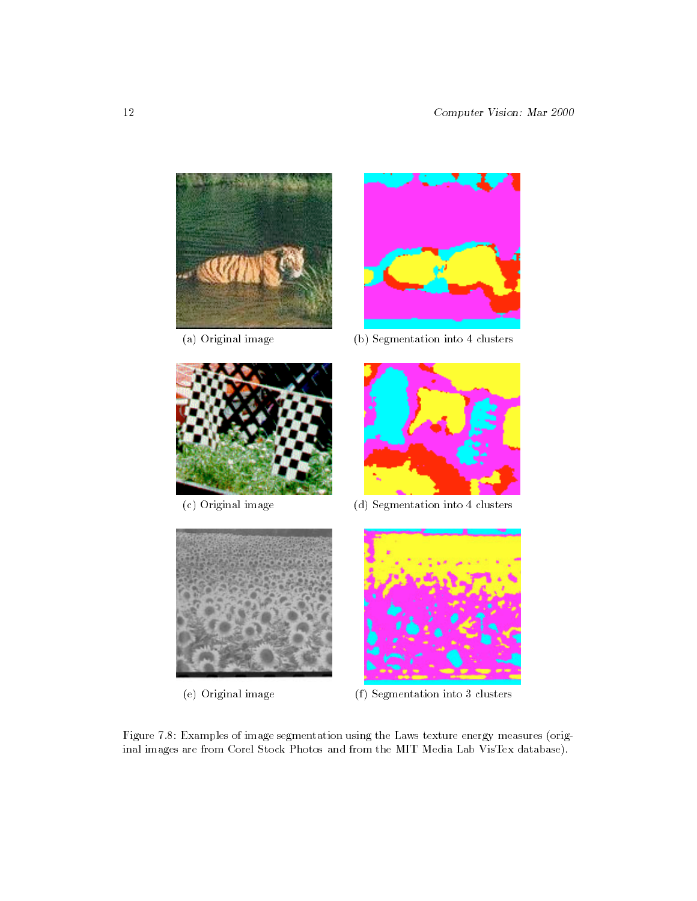





(a) Original image (b) Segmentation into 4 clusters



(c) Original image (d) Segmentation into 4 clusters





(e) Original image (f) Segmentation into 3 clusters

Figure 7.8: Examples of image segmentation using the Laws texture energy measures (original images are from Corel Stock Photos and from the MIT Media Lab VisTex database).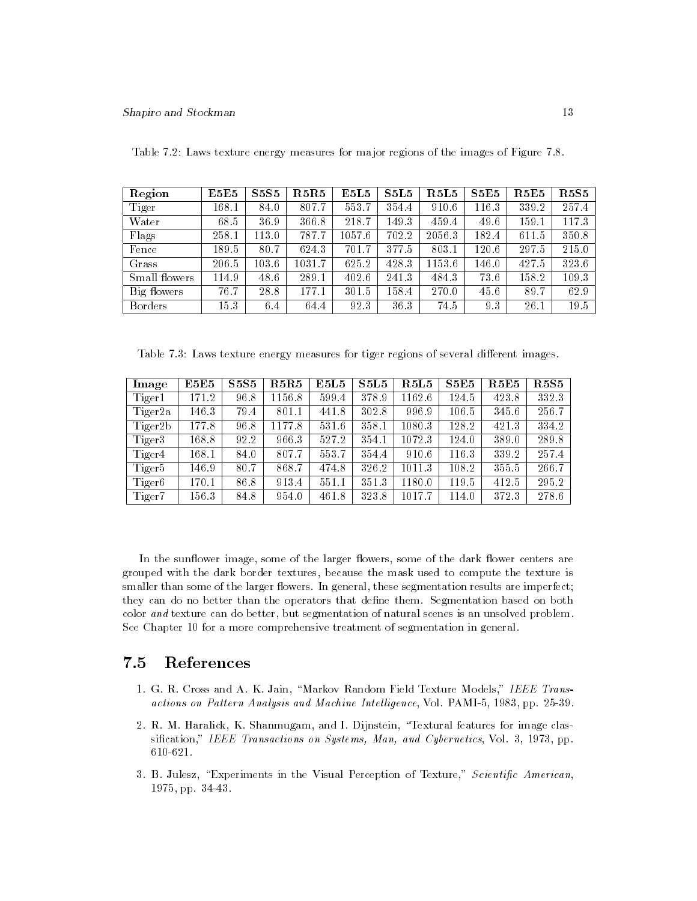| Region         | E5E5  | <b>S5S5</b> | R5R5   | E5L5   | S5L5  | R5L5   | S5E5  | R5E5  | <b>R5S5</b> |
|----------------|-------|-------------|--------|--------|-------|--------|-------|-------|-------------|
| Tiger          | 168.1 | 84.0        | 807.7  | 553.7  | 354.4 | 910.6  | 116.3 | 339.2 | 257.4       |
| Water          | 68.5  | 36.9        | 366.8  | 218.7  | 149.3 | 459.4  | 49.6  | 159.1 | 117.3       |
| Flags          | 258.1 | 113.0       | 787.7  | 1057.6 | 702.2 | 2056.3 | 182.4 | 611.5 | 350.8       |
| Fence          | 189.5 | 80.7        | 624.3  | 701.7  | 377.5 | 803.1  | 120.6 | 297.5 | 215.0       |
| Grass          | 206.5 | 103.6       | 1031.7 | 625.2  | 428.3 | 1153.6 | 146.0 | 427.5 | 323.6       |
| Small flowers  | 114.9 | 48.6        | 289.1  | 402.6  | 241.3 | 484.3  | 73.6  | 158.2 | 109.3       |
| Big flowers    | 76.7  | 28.8        | 177.1  | 301.5  | 158.4 | 270.0  | 45.6  | 89.7  | 62.9        |
| <b>Borders</b> | 15.3  | 6.4         | 64.4   | 92.3   | 36 3  | 74.5   | 93    | 26.1  | 19.5        |

Table 7.2: Laws texture energy measures for major regions of the images of Figure 7.8.

Table 7.3: Laws texture energy measures for tiger regions of several different images.

| Image              | E5E5  | <b>S5S5</b> | R5R5   | E5L5  | S5L5  | R5L5   | S5E5  | <b>R5E5</b> | R5S5  |
|--------------------|-------|-------------|--------|-------|-------|--------|-------|-------------|-------|
| Tiger1             | 171.2 | 96.8        | 1156.8 | 599.4 | 378.9 | 1162.6 | 124.5 | 423.8       | 332.3 |
| Tiger2a            | 146.3 | 79.4        | 801.1  | 441.8 | 302.8 | 996.9  | 106.5 | 345.6       | 256.7 |
| Tiger2b            | 177.8 | 96.8        | 1177.8 | 531.6 | 358.1 | 1080.3 | 128.2 | 421.3       | 334.2 |
| Tiger3             | 168.8 | 92.2        | 966.3  | 527.2 | 354.1 | 1072.3 | 124.0 | 389.0       | 289.8 |
| Tiger4             | 168.1 | 84.0        | 807.7  | 553.7 | 354.4 | 910.6  | 116.3 | 339.2       | 257.4 |
| Tiger <sub>5</sub> | 146.9 | 80.7        | 868.7  | 474.8 | 326.2 | 1011.3 | 108.2 | 355.5       | 266.7 |
| Tiger <sub>6</sub> | 170.1 | 86.8        | 913.4  | 551.1 | 351.3 | 1180.0 | 119.5 | 412.5       | 295.2 |
| Tiger7             | 156.3 | 84.8        | 954.0  | 461.8 | 323.8 | 1017.7 | 114.0 | 372.3       | 278.6 |

In the sunflower image, some of the larger flowers, some of the dark flower centers are grouped with the dark border textures, because the mask used to compute the texture is smaller than some of the larger flowers. In general, these segmentation results are imperfect; they can do no better than the operators that define them. Segmentation based on both color and texture can do better, but segmentation of natural scenes is an unsolved problem. See Chapter 10 for a more comprehensive treatment of segmentation in general.

#### 7.5References

- 1. G. R. Cross and A. K. Jain, "Markov Random Field Texture Models," IEEE Transactions on Pattern Analysis and Machine Intelligence, Vol. PAMI-5, 1983, pp. 25-39.
- 2. R. M. Haralick, K. Shanmugam, and I. Dijnstein, "Textural features for image classification," IEEE Transactions on Systems, Man, and Cybernetics, Vol. 3, 1973, pp. 610-621.
- 3. B. Julesz, "Experiments in the Visual Perception of Texture," Scientific American, 1975, pp. 34-43.